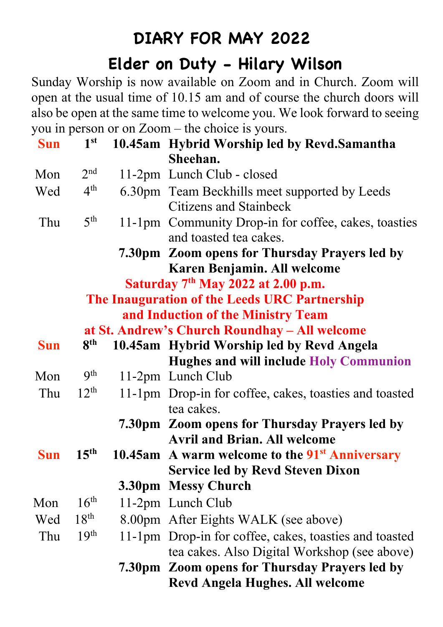## **DIARY FOR MAY 2022**

## **Elder on Duty - Hilary Wilson**

Sunday Worship is now available on Zoom and in Church. Zoom will open at the usual time of 10.15 am and of course the church doors will also be open at the same time to welcome you. We look forward to seeing you in person or on Zoom – the choice is yours.

| <b>Sun</b>                                    | 1 <sup>st</sup>  |  | 10.45am Hybrid Worship led by Revd.Samantha                                    |  |  |
|-----------------------------------------------|------------------|--|--------------------------------------------------------------------------------|--|--|
|                                               |                  |  | Sheehan.                                                                       |  |  |
| Mon                                           | 2 <sup>nd</sup>  |  | 11-2pm Lunch Club - closed                                                     |  |  |
| Wed                                           | $4^{\rm th}$     |  | 6.30pm Team Beckhills meet supported by Leeds<br><b>Citizens and Stainbeck</b> |  |  |
| Thu                                           | 5 <sup>th</sup>  |  | 11-1pm Community Drop-in for coffee, cakes, toasties<br>and toasted tea cakes. |  |  |
|                                               |                  |  | 7.30pm Zoom opens for Thursday Prayers led by                                  |  |  |
|                                               |                  |  | Karen Benjamin. All welcome                                                    |  |  |
| Saturday $7th$ May 2022 at 2.00 p.m.          |                  |  |                                                                                |  |  |
| The Inauguration of the Leeds URC Partnership |                  |  |                                                                                |  |  |
| and Induction of the Ministry Team            |                  |  |                                                                                |  |  |
| at St. Andrew's Church Roundhay – All welcome |                  |  |                                                                                |  |  |
| <b>Sun</b>                                    | 8 <sup>th</sup>  |  | 10.45am Hybrid Worship led by Revd Angela                                      |  |  |
|                                               |                  |  | <b>Hughes and will include Holy Communion</b>                                  |  |  |
| Mon                                           | 9 <sup>th</sup>  |  | 11-2pm Lunch Club                                                              |  |  |
| Thu                                           | $12^{th}$        |  | 11-1pm Drop-in for coffee, cakes, toasties and toasted<br>tea cakes.           |  |  |
|                                               |                  |  | 7.30pm Zoom opens for Thursday Prayers led by                                  |  |  |
|                                               |                  |  | <b>Avril and Brian. All welcome</b>                                            |  |  |
| <b>Sun</b>                                    | 15 <sup>th</sup> |  | 10.45am A warm welcome to the $91st$ Anniversary                               |  |  |
|                                               |                  |  | <b>Service led by Revd Steven Dixon</b>                                        |  |  |
|                                               |                  |  | 3.30pm Messy Church                                                            |  |  |
| Mon                                           | 16 <sup>th</sup> |  | 11-2pm Lunch Club                                                              |  |  |
| Wed                                           | $18^{th}$        |  | 8.00pm After Eights WALK (see above)                                           |  |  |
| Thu                                           | 19 <sup>th</sup> |  | 11-1pm Drop-in for coffee, cakes, toasties and toasted                         |  |  |
|                                               |                  |  | tea cakes. Also Digital Workshop (see above)                                   |  |  |
|                                               |                  |  | 7.30pm Zoom opens for Thursday Prayers led by                                  |  |  |
|                                               |                  |  | <b>Revd Angela Hughes. All welcome</b>                                         |  |  |